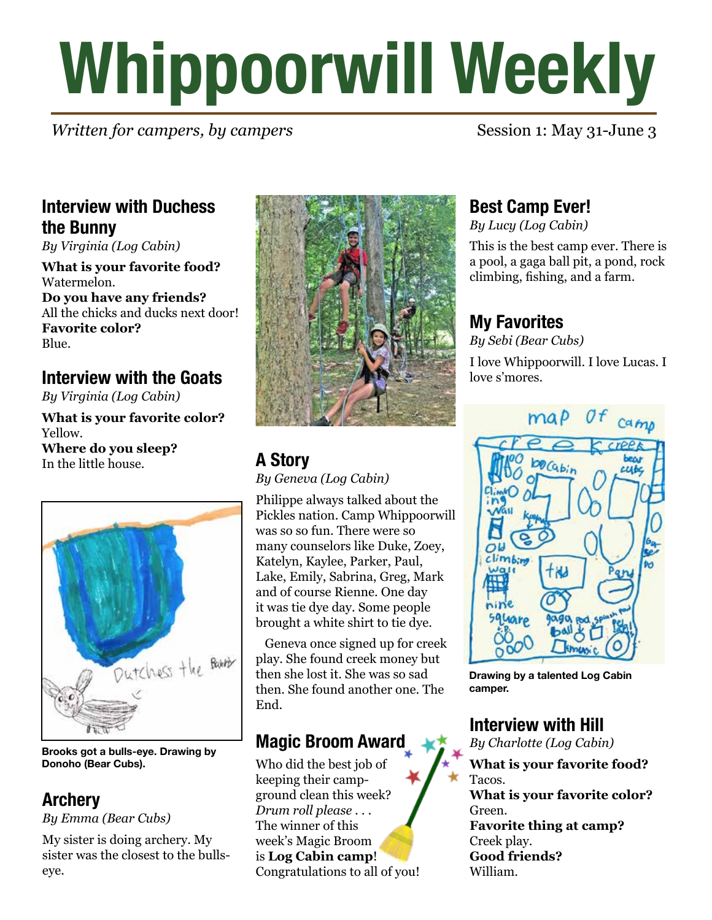# **Whippoorwill Weekly**

*Written for campers, by campers* Session 1: May 31-June 3

#### **Interview with Duchess the Bunny**

*By Virginia (Log Cabin)*

**What is your favorite food?** Watermelon. **Do you have any friends?** All the chicks and ducks next door! **Favorite color?** Blue.

#### **Interview with the Goats**

*By Virginia (Log Cabin)*

**What is your favorite color?** Yellow. **Where do you sleep?** In the little house.



**Brooks got a bulls-eye. Drawing by Donoho (Bear Cubs).**

#### **Archery**

*By Emma (Bear Cubs)*

My sister is doing archery. My sister was the closest to the bullseye.



# **A Story**

*By Geneva (Log Cabin)*

Philippe always talked about the Pickles nation. Camp Whippoorwill was so so fun. There were so many counselors like Duke, Zoey, Katelyn, Kaylee, Parker, Paul, Lake, Emily, Sabrina, Greg, Mark and of course Rienne. One day it was tie dye day. Some people brought a white shirt to tie dye.

 Geneva once signed up for creek play. She found creek money but then she lost it. She was so sad then. She found another one. The End.

## **Magic Broom Award**

Who did the best job of keeping their campground clean this week? *Drum roll please . . .* The winner of this week's Magic Broom is **Log Cabin camp**! Congratulations to all of you!

#### **Best Camp Ever!**

*By Lucy (Log Cabin)*

This is the best camp ever. There is a pool, a gaga ball pit, a pond, rock climbing, fishing, and a farm.

#### **My Favorites**

*By Sebi (Bear Cubs)*

I love Whippoorwill. I love Lucas. I love s'mores.



**Drawing by a talented Log Cabin camper.**

#### **Interview with Hill**

*By Charlotte (Log Cabin)* **What is your favorite food?** Tacos. **What is your favorite color?** Green. **Favorite thing at camp?** Creek play. **Good friends?** William.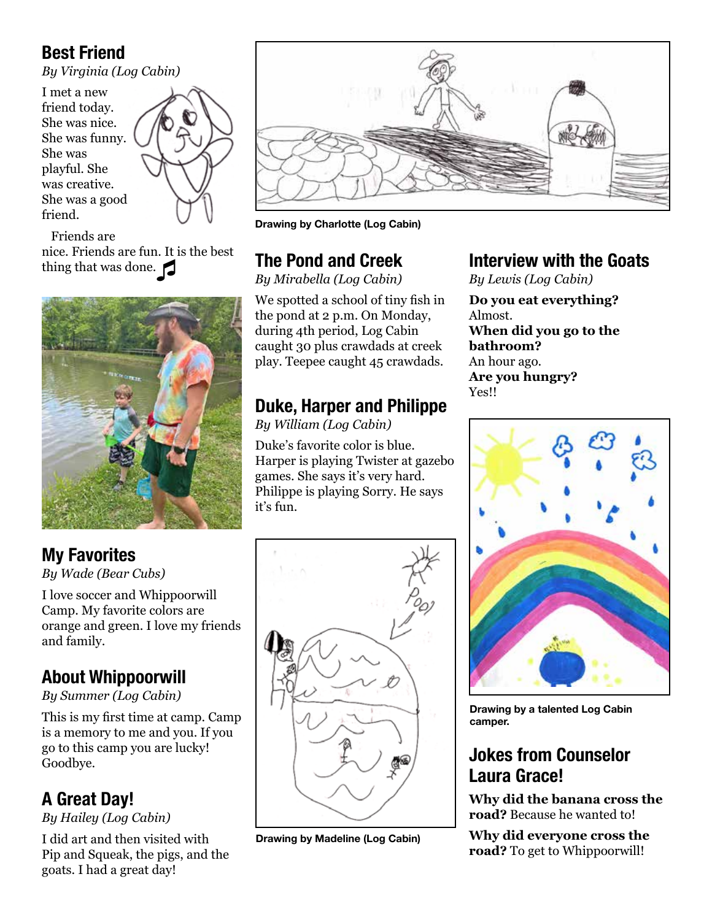#### **Best Friend**

*By Virginia (Log Cabin)*

I met a new friend today. She was nice. She was funny. She was playful. She was creative. She was a good friend.



#### Friends are

nice. Friends are fun. It is the best thing that was done. **The Pond and Creek**



#### **My Favorites**

*By Wade (Bear Cubs)*

I love soccer and Whippoorwill Camp. My favorite colors are orange and green. I love my friends and family.

#### **About Whippoorwill**

*By Summer (Log Cabin)*

This is my first time at camp. Camp is a memory to me and you. If you go to this camp you are lucky! Goodbye.

## **A Great Day!**

*By Hailey (Log Cabin)*

I did art and then visited with Pip and Squeak, the pigs, and the goats. I had a great day!



#### **Drawing by Charlotte (Log Cabin)**

*By Mirabella (Log Cabin)*

We spotted a school of tiny fish in the pond at 2 p.m. On Monday, during 4th period, Log Cabin caught 30 plus crawdads at creek play. Teepee caught 45 crawdads.

#### **Duke, Harper and Philippe**

*By William (Log Cabin)*

Duke's favorite color is blue. Harper is playing Twister at gazebo games. She says it's very hard. Philippe is playing Sorry. He says it's fun.



**Drawing by Madeline (Log Cabin)**

#### **Interview with the Goats**

*By Lewis (Log Cabin)*

**Do you eat everything?** Almost. **When did you go to the bathroom?** An hour ago. **Are you hungry?**  Yes!!



**Drawing by a talented Log Cabin camper.**

#### **Jokes from Counselor Laura Grace!**

**Why did the banana cross the road?** Because he wanted to!

**Why did everyone cross the road?** To get to Whippoorwill!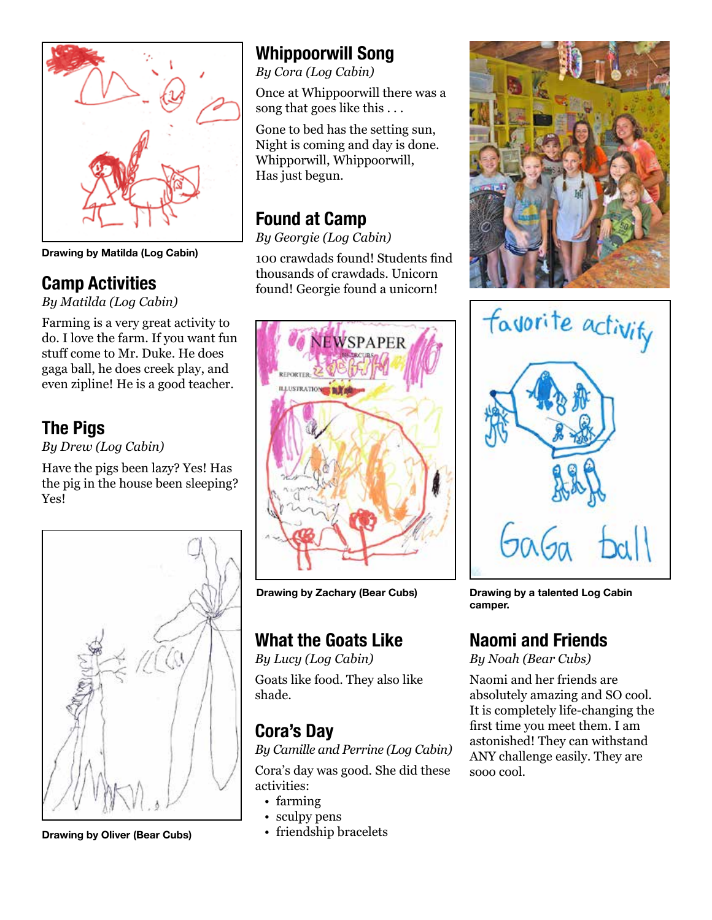

**Drawing by Matilda (Log Cabin)**

#### **Camp Activities**

*By Matilda (Log Cabin)*

Farming is a very great activity to do. I love the farm. If you want fun stuff come to Mr. Duke. He does gaga ball, he does creek play, and even zipline! He is a good teacher.

#### **The Pigs**

*By Drew (Log Cabin)*

Have the pigs been lazy? Yes! Has the pig in the house been sleeping? Yes!



**Drawing by Oliver (Bear Cubs)**

#### **Whippoorwill Song**

*By Cora (Log Cabin)*

Once at Whippoorwill there was a song that goes like this . . .

Gone to bed has the setting sun, Night is coming and day is done. Whipporwill, Whippoorwill, Has just begun.

#### **Found at Camp**

*By Georgie (Log Cabin)*

100 crawdads found! Students find thousands of crawdads. Unicorn found! Georgie found a unicorn!



**Drawing by Zachary (Bear Cubs)**

#### **What the Goats Like**

*By Lucy (Log Cabin)* Goats like food. They also like shade.

#### **Cora's Day**

*By Camille and Perrine (Log Cabin)*

Cora's day was good. She did these activities:

- farming
- sculpy pens
- friendship bracelets





**Drawing by a talented Log Cabin camper.**

#### **Naomi and Friends**

*By Noah (Bear Cubs)*

Naomi and her friends are absolutely amazing and SO cool. It is completely life-changing the first time you meet them. I am astonished! They can withstand ANY challenge easily. They are sooo cool.